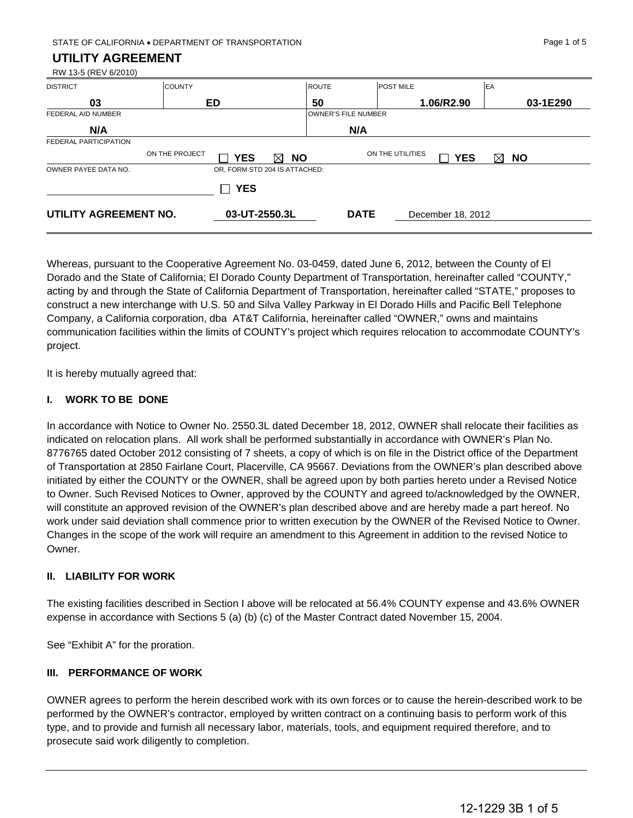STATE OF CALIFORNIA • DEPARTMENT OF TRANSPORTATION PAGE 1 OF 5

#### **UTILITY AGREEMENT**

RW 13-5 (REV 6/2010)

| <b>DISTRICT</b>       | <b>COUNTY</b>  |                               |                | <b>ROUTE</b>               | <b>POST MILE</b> |                   | EA                       |
|-----------------------|----------------|-------------------------------|----------------|----------------------------|------------------|-------------------|--------------------------|
| 03                    |                | ED                            |                | 50                         |                  | 1.06/R2.90        | 03-1E290                 |
| FEDERAL AID NUMBER    |                |                               |                | <b>OWNER'S FILE NUMBER</b> |                  |                   |                          |
| N/A                   |                |                               |                | N/A                        |                  |                   |                          |
| FEDERAL PARTICIPATION |                |                               |                |                            |                  |                   |                          |
|                       | ON THE PROJECT | <b>YES</b>                    | <b>NO</b><br>⊠ |                            | ON THE UTILITIES | <b>YES</b>        | <b>NO</b><br>$\boxtimes$ |
| OWNER PAYEE DATA NO.  |                | OR, FORM STD 204 IS ATTACHED: |                |                            |                  |                   |                          |
|                       |                | <b>YES</b><br>$\Box$          |                |                            |                  |                   |                          |
| UTILITY AGREEMENT NO. |                | 03-UT-2550.3L                 |                | <b>DATE</b>                |                  | December 18, 2012 |                          |

Whereas, pursuant to the Cooperative Agreement No. 03-0459, dated June 6, 2012, between the County of El Dorado and the State of California; El Dorado County Department of Transportation, hereinafter called "COUNTY," acting by and through the State of California Department of Transportation, hereinafter called "STATE," proposes to construct a new interchange with U.S. 50 and Silva Valley Parkway in El Dorado Hills and Pacific Bell Telephone Company, a California corporation, dba AT&T California, hereinafter called "OWNER," owns and maintains communication facilities within the limits of COUNTY's project which requires relocation to accommodate COUNTY's project.

It is hereby mutually agreed that:

#### **I. WORK TO BE DONE**

In accordance with Notice to Owner No. 2550.3L dated December 18, 2012, OWNER shall relocate their facilities as indicated on relocation plans. All work shall be performed substantially in accordance with OWNER's Plan No. 8776765 dated October 2012 consisting of 7 sheets, a copy of which is on file in the District office of the Department of Transportation at 2850 Fairlane Court, Placerville, CA 95667. Deviations from the OWNER's plan described above initiated by either the COUNTY or the OWNER, shall be agreed upon by both parties hereto under a Revised Notice to Owner. Such Revised Notices to Owner, approved by the COUNTY and agreed to/acknowledged by the OWNER, will constitute an approved revision of the OWNER's plan described above and are hereby made a part hereof. No work under said deviation shall commence prior to written execution by the OWNER of the Revised Notice to Owner. Changes in the scope of the work will require an amendment to this Agreement in addition to the revised Notice to Owner.

### **II. LIABILITY FOR WORK**

The existing facilities described in Section I above will be relocated at 56.4% COUNTY expense and 43.6% OWNER expense in accordance with Sections 5 (a) (b) (c) of the Master Contract dated November 15, 2004.

See "Exhibit A" for the proration.

### **III. PERFORMANCE OF WORK**

OWNER agrees to perform the herein described work with its own forces or to cause the herein-described work to be performed by the OWNER's contractor, employed by written contract on a continuing basis to perform work of this type, and to provide and furnish all necessary labor, materials, tools, and equipment required therefore, and to prosecute said work diligently to completion.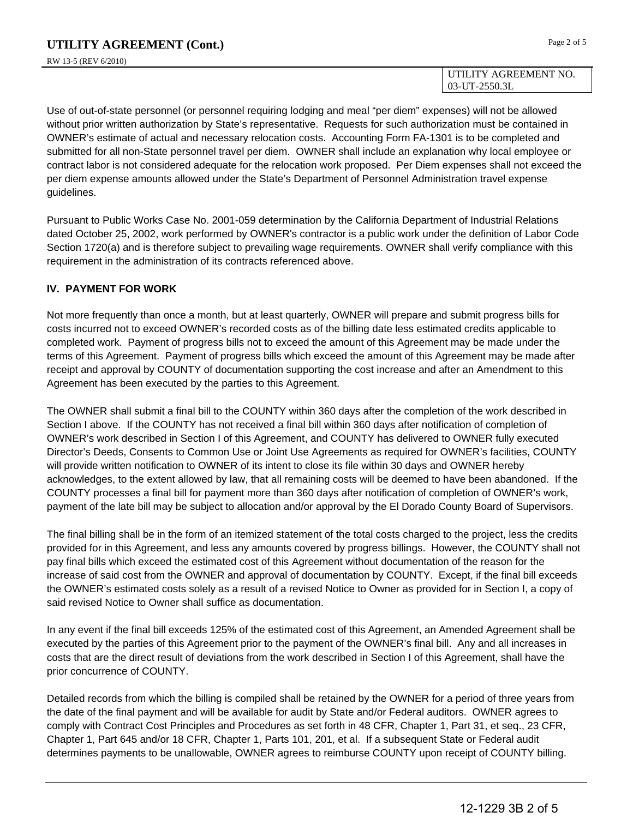#### UTILITY AGREEMENT NO. 03-UT-2550.3L

Use of out-of-state personnel (or personnel requiring lodging and meal "per diem" expenses) will not be allowed without prior written authorization by State's representative. Requests for such authorization must be contained in OWNER's estimate of actual and necessary relocation costs. Accounting Form FA-1301 is to be completed and submitted for all non-State personnel travel per diem. OWNER shall include an explanation why local employee or contract labor is not considered adequate for the relocation work proposed. Per Diem expenses shall not exceed the per diem expense amounts allowed under the State's Department of Personnel Administration travel expense guidelines.

Pursuant to Public Works Case No. 2001-059 determination by the California Department of Industrial Relations dated October 25, 2002, work performed by OWNER's contractor is a public work under the definition of Labor Code Section 1720(a) and is therefore subject to prevailing wage requirements. OWNER shall verify compliance with this requirement in the administration of its contracts referenced above.

## **IV. PAYMENT FOR WORK**

Not more frequently than once a month, but at least quarterly, OWNER will prepare and submit progress bills for costs incurred not to exceed OWNER's recorded costs as of the billing date less estimated credits applicable to completed work. Payment of progress bills not to exceed the amount of this Agreement may be made under the terms of this Agreement. Payment of progress bills which exceed the amount of this Agreement may be made after receipt and approval by COUNTY of documentation supporting the cost increase and after an Amendment to this Agreement has been executed by the parties to this Agreement.

The OWNER shall submit a final bill to the COUNTY within 360 days after the completion of the work described in Section I above. If the COUNTY has not received a final bill within 360 days after notification of completion of OWNER's work described in Section I of this Agreement, and COUNTY has delivered to OWNER fully executed Director's Deeds, Consents to Common Use or Joint Use Agreements as required for OWNER's facilities, COUNTY will provide written notification to OWNER of its intent to close its file within 30 days and OWNER hereby acknowledges, to the extent allowed by law, that all remaining costs will be deemed to have been abandoned. If the COUNTY processes a final bill for payment more than 360 days after notification of completion of OWNER's work, payment of the late bill may be subject to allocation and/or approval by the El Dorado County Board of Supervisors.

The final billing shall be in the form of an itemized statement of the total costs charged to the project, less the credits provided for in this Agreement, and less any amounts covered by progress billings. However, the COUNTY shall not pay final bills which exceed the estimated cost of this Agreement without documentation of the reason for the increase of said cost from the OWNER and approval of documentation by COUNTY. Except, if the final bill exceeds the OWNER's estimated costs solely as a result of a revised Notice to Owner as provided for in Section I, a copy of said revised Notice to Owner shall suffice as documentation.

In any event if the final bill exceeds 125% of the estimated cost of this Agreement, an Amended Agreement shall be executed by the parties of this Agreement prior to the payment of the OWNER's final bill. Any and all increases in costs that are the direct result of deviations from the work described in Section I of this Agreement, shall have the prior concurrence of COUNTY.

Detailed records from which the billing is compiled shall be retained by the OWNER for a period of three years from the date of the final payment and will be available for audit by State and/or Federal auditors. OWNER agrees to comply with Contract Cost Principles and Procedures as set forth in 48 CFR, Chapter 1, Part 31, et seq., 23 CFR, Chapter 1, Part 645 and/or 18 CFR, Chapter 1, Parts 101, 201, et al. If a subsequent State or Federal audit determines payments to be unallowable, OWNER agrees to reimburse COUNTY upon receipt of COUNTY billing.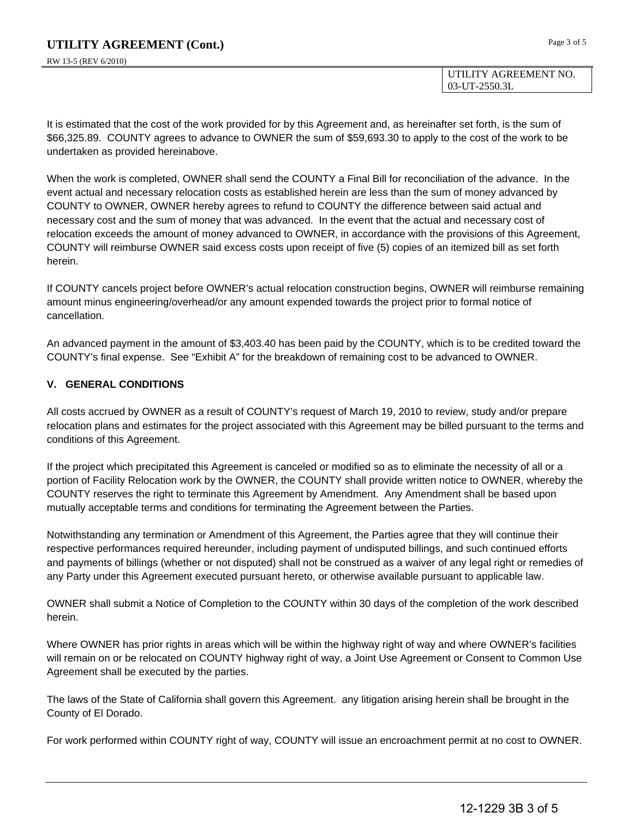UTILITY AGREEMENT NO. 03-UT-2550.3L

It is estimated that the cost of the work provided for by this Agreement and, as hereinafter set forth, is the sum of \$66,325.89. COUNTY agrees to advance to OWNER the sum of \$59,693.30 to apply to the cost of the work to be undertaken as provided hereinabove.

When the work is completed, OWNER shall send the COUNTY a Final Bill for reconciliation of the advance. In the event actual and necessary relocation costs as established herein are less than the sum of money advanced by COUNTY to OWNER, OWNER hereby agrees to refund to COUNTY the difference between said actual and necessary cost and the sum of money that was advanced. In the event that the actual and necessary cost of relocation exceeds the amount of money advanced to OWNER, in accordance with the provisions of this Agreement, COUNTY will reimburse OWNER said excess costs upon receipt of five (5) copies of an itemized bill as set forth herein.

If COUNTY cancels project before OWNER's actual relocation construction begins, OWNER will reimburse remaining amount minus engineering/overhead/or any amount expended towards the project prior to formal notice of cancellation.

An advanced payment in the amount of \$3,403.40 has been paid by the COUNTY, which is to be credited toward the COUNTY's final expense. See "Exhibit A" for the breakdown of remaining cost to be advanced to OWNER.

### **V. GENERAL CONDITIONS**

All costs accrued by OWNER as a result of COUNTY's request of March 19, 2010 to review, study and/or prepare relocation plans and estimates for the project associated with this Agreement may be billed pursuant to the terms and conditions of this Agreement.

If the project which precipitated this Agreement is canceled or modified so as to eliminate the necessity of all or a portion of Facility Relocation work by the OWNER, the COUNTY shall provide written notice to OWNER, whereby the COUNTY reserves the right to terminate this Agreement by Amendment. Any Amendment shall be based upon mutually acceptable terms and conditions for terminating the Agreement between the Parties.

Notwithstanding any termination or Amendment of this Agreement, the Parties agree that they will continue their respective performances required hereunder, including payment of undisputed billings, and such continued efforts and payments of billings (whether or not disputed) shall not be construed as a waiver of any legal right or remedies of any Party under this Agreement executed pursuant hereto, or otherwise available pursuant to applicable law.

OWNER shall submit a Notice of Completion to the COUNTY within 30 days of the completion of the work described herein.

Where OWNER has prior rights in areas which will be within the highway right of way and where OWNER's facilities will remain on or be relocated on COUNTY highway right of way, a Joint Use Agreement or Consent to Common Use Agreement shall be executed by the parties.

The laws of the State of California shall govern this Agreement. any litigation arising herein shall be brought in the County of El Dorado.

For work performed within COUNTY right of way, COUNTY will issue an encroachment permit at no cost to OWNER.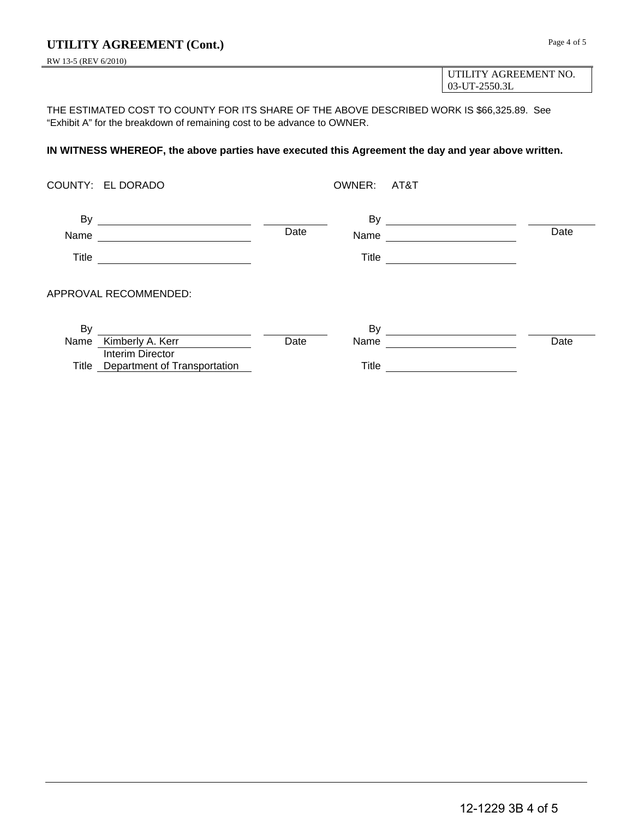RW 13-5 (REV 6/2010)

UTILITY AGREEMENT NO. 03-UT-2550.3L

THE ESTIMATED COST TO COUNTY FOR ITS SHARE OF THE ABOVE DESCRIBED WORK IS \$66,325.89. See "Exhibit A" for the breakdown of remaining cost to be advance to OWNER.

#### **IN WITNESS WHEREOF, the above parties have executed this Agreement the day and year above written.**

|            | COUNTY: EL DORADO                                      |      | OWNER: AT&T  |                                                                                                                      |      |
|------------|--------------------------------------------------------|------|--------------|----------------------------------------------------------------------------------------------------------------------|------|
| By<br>Name | <u> 1989 - Andrea Andrew Maria (b. 1989)</u>           | Date | Name         | <u> 1980 - Jan Samuel Barbara, politik eta politik eta politik eta politik eta politik eta politik eta politik e</u> | Date |
| Title      |                                                        |      | Title        |                                                                                                                      |      |
|            | APPROVAL RECOMMENDED:                                  |      |              |                                                                                                                      |      |
| By         |                                                        |      |              |                                                                                                                      |      |
| Name       | Kimberly A. Kerr                                       | Date | Name         |                                                                                                                      | Date |
|            | Interim Director<br>Title Department of Transportation |      | <b>Title</b> |                                                                                                                      |      |